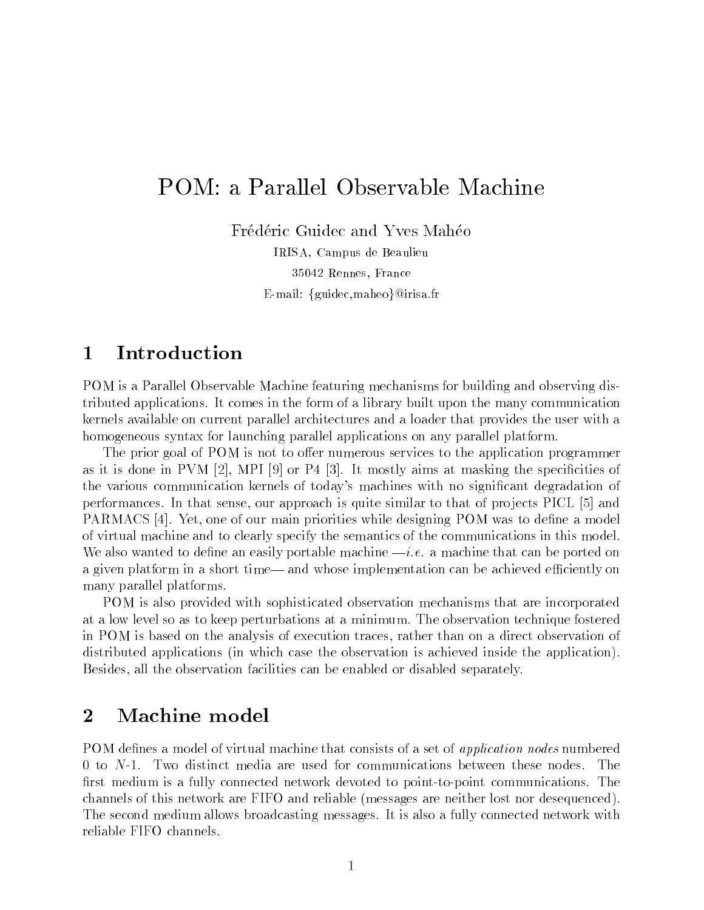# POM: a Parallel Observable Machine

Frédéric Guidec and Yves Mahéo

IRISA, Campus de Beaulieu 35042 Rennes, France E-mail: {guidec,maheo}@irisa.fr

## <sup>1</sup> Introduction

POM is a Parallel Observable Machine featuring mechanisms for building and observing distributed applications. It comes in the form of a library built upon the many communication kernels available on current parallel architectures and a loader that provides the user with a homogeneous syntax for launching parallel applications on any parallel platform.

The prior goal of POM is not to offer numerous services to the application programmer as it is done in PVM  $[2]$ , MPI  $[9]$  or P4  $[3]$ . It mostly aims at masking the specificities of the various communication kernels of today's machines with no signicant degradation of performances. In that sense, our approach is quite similar to that of projects  $PICL$  [5] and PARMACS [4]. Yet, one of our main priorities while designing POM was to define a model of virtual machine and to clearly specify the semantics of the communications in this model. We also wanted to define an easily portable machine  $-i.e.$  a machine that can be ported on a given platform in a short time— and whose implementation can be achieved efficiently on many parallel platforms.

POM is also provided with sophisticated observation mechanisms that are incorporated at a low level so as to keep perturbations at a minimum. The observation technique fostered in POM is based on the analysis of execution traces, rather than on a direct observation of distributed applications (in which case the observation is achieved inside the application). Besides, all the observation facilities can be enabled or disabled separately.

## <sup>2</sup> Machine model

POM defines a model of virtual machine that consists of a set of *application nodes* numbered 0 to N-1. Two distinct media are used for communications between these nodes. The first medium is a fully connected network devoted to point-to-point communications. The channels of this network are FIFO and reliable (messages are neither lost nor desequenced). The second medium allows broadcasting messages. It is also a fully connected network with reliable FIFO channels.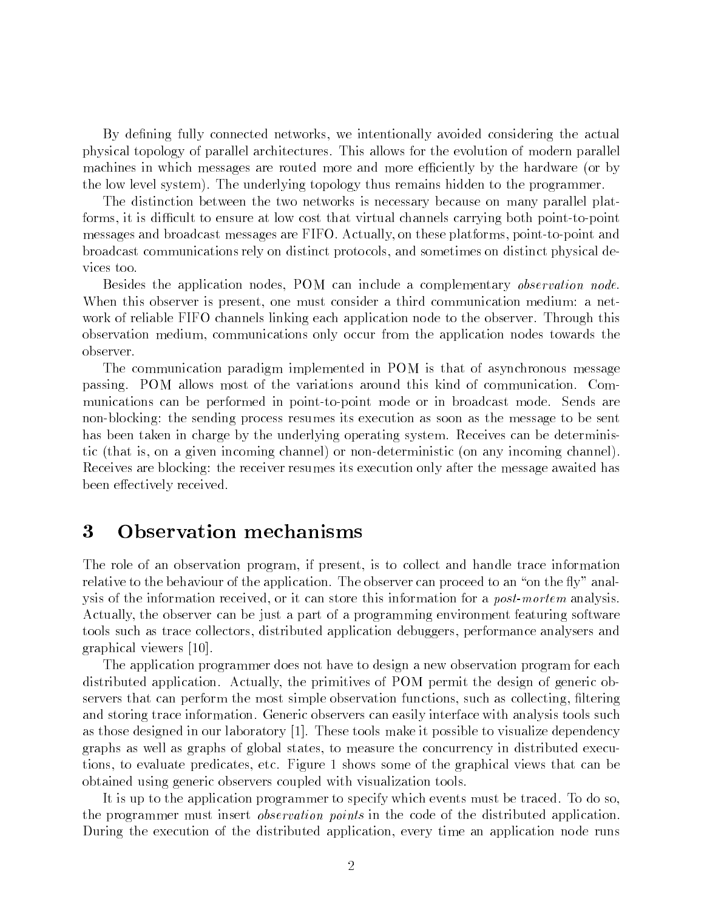By defining fully connected networks, we intentionally avoided considering the actual physical topology of parallel architectures. This allows for the evolution of modern parallel machines in which messages are routed more and more efficiently by the hardware (or by the low level system). The underlying topology thus remains hidden to the programmer.

The distinction between the two networks is necessary because on many parallel platforms, it is difficult to ensure at low cost that virtual channels carrying both point-to-point messages and broadcast messages are FIFO. Actually, on these platforms, point-to-point and broadcast communications rely on distinct protocols, and sometimes on distinct physical devices too.

Besides the application nodes, POM can include a complementary *observation node*. When this observer is present, one must consider a third communication medium: a network of reliable FIFO channels linking each application node to the observer. Through this observation medium, communications only occur from the application nodes towards the observer.

The communication paradigm implemented in POM is that of asynchronous message passing. POM allows most of the variations around this kind of communication. Communications can be performed in point-to-point mode or in broadcast mode. Sends are non-blocking: the sending process resumes its execution as soon as the message to be sent has been taken in charge by the underlying operating system. Receives can be deterministic (that is, on a given incoming channel) or non-deterministic (on any incoming channel). Receives are blocking: the receiver resumes its execution only after the message awaited has been effectively received.

#### <sup>3</sup> Observation mechanisms

The role of an observation program, if present, is to collect and handle trace information relative to the behaviour of the application. The observer can proceed to an "on the fly" analysis of the information received, or it can store this information for a *post-mortem* analysis. Actually, the observer can be just a part of a programming environment featuring software tools such as trace collectors, distributed application debuggers, performance analysers and graphical viewers [10].

The application programmer does not have to design a new observation program for each distributed application. Actually, the primitives of POM permit the design of generic observers that can perform the most simple observation functions, such as collecting, ltering and storing trace information. Generic observers can easily interface with analysis tools such as those designed in our laboratory [1]. These tools make it possible to visualize dependency graphs as well as graphs of global states, to measure the concurrency in distributed executions, to evaluate predicates, etc. Figure 1 shows some of the graphical views that can be obtained using generic observers coupled with visualization tools.

It is up to the application programmer to specify which events must be traced. To do so, the programmer must insert observation points in the code of the distributed application. During the execution of the distributed application, every time an application node runs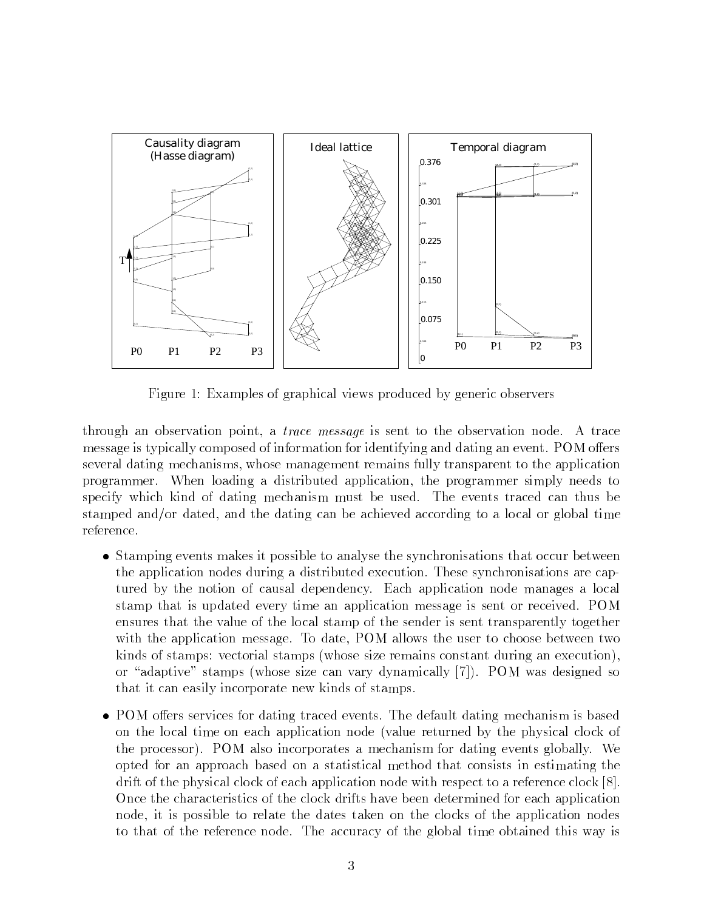

Figure 1: Examples of graphical views produced by generic observers

through an observation point, a trace message is sent to the observation node. A trace message is typically composed of information for identifying and dating an event. POM offers several dating mechanisms, whose management remains fully transparent to the application programmer. When loading a distributed application, the programmer simply needs to specify which kind of dating mechanism must be used. The events traced can thus be stamped and/or dated, and the dating can be achieved according to a local or global time

- Stamping events makes it possible to analyse the synchronisations that occur between the application nodes during a distributed execution. These synchronisations are captured by the notion of causal dependency. Each application node manages a local stamp that is updated every time an application message is sent or received. POM ensures that the value of the local stamp of the sender is sent transparently together with the application message. To date, POM allows the user to choose between two kinds of stamps: vectorial stamps (whose size remains constant during an execution), or "adaptive" stamps (whose size can vary dynamically [7]). POM was designed so that it can easily incorporate new kinds of stamps.
- POM oers services for dating traced events. The default dating mechanism is based on the local time on each application node (value returned by the physical clock of the processor). POM also incorporates a mechanism for dating events globally. We opted for an approach based on a statistical method that consists in estimating the drift of the physical clock of each application node with respect to a reference clock [8]. Once the characteristics of the clock drifts have been determined for each application node, it is possible to relate the dates taken on the clocks of the application nodes to that of the reference node. The accuracy of the global time obtained this way is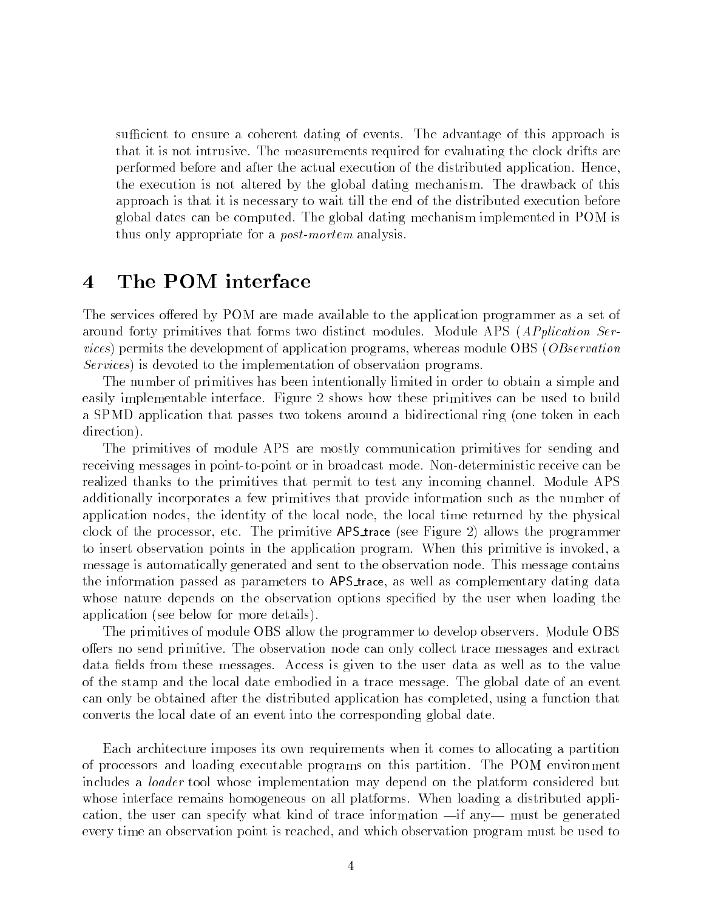sufficient to ensure a coherent dating of events. The advantage of this approach is that it is not intrusive. The measurements required for evaluating the clock drifts are performed before and after the actual execution of the distributed application. Hence, the execution is not altered by the global dating mechanism. The drawback of this approach is that it is necessary to wait till the end of the distributed execution before global dates can be computed. The global dating mechanism implemented in POM is thus only appropriate for a post-mortem analysis.

# <sup>4</sup> The POM interface

The services offered by POM are made available to the application programmer as a set of around forty primitives that forms two distinct modules. Module APS (APplication Services) permits the development of application programs, whereas module OBS (OBservation Services) is devoted to the implementation of observation programs.

The number of primitives has been intentionally limited in order to obtain a simple and easily implementable interface. Figure 2 shows how these primitives can be used to build a SPMD application that passes two tokens around a bidirectional ring (one token in each direction).

The primitives of module APS are mostly communication primitives for sending and receiving messages in point-to-point or in broadcast mode. Non-deterministic receive can be realized thanks to the primitives that permit to test any incoming channel. Module APS additionally incorporates a few primitives that provide information such as the number of application nodes, the identity of the local node, the local time returned by the physical clock of the processor, etc. The primitive APS trace (see Figure 2) allows the programmer to insert observation points in the application program. When this primitive is invoked, a message is automatically generated and sent to the observation node. This message contains the information passed as parameters to APS trace, as well as complementary dating data whose nature depends on the observation options specified by the user when loading the application (see below for more details).

The primitives of module OBS allow the programmer to develop observers. Module OBS offers no send primitive. The observation node can only collect trace messages and extract data fields from these messages. Access is given to the user data as well as to the value of the stamp and the local date embodied in a trace message. The global date of an event can only be obtained after the distributed application has completed, using a function that converts the local date of an event into the corresponding global date.

Each architecture imposes its own requirements when it comes to allocating a partition of processors and loading executable programs on this partition. The POM environment includes a loader tool whose implementation may depend on the platform considered but whose interface remains homogeneous on all platforms. When loading a distributed application, the user can specify what kind of trace information  $\text{---}$  if any  $\text{---}$  must be generated every time an observation point is reached, and which observation program must be used to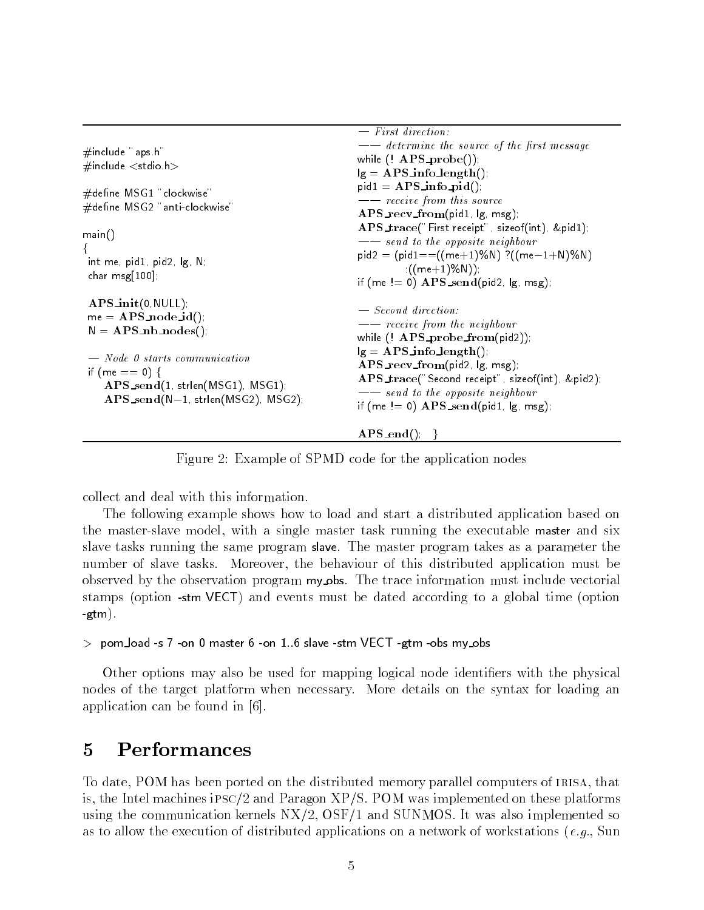|                                                                                                                                                                                                                                                                   | $-$ rifst airection:                                                                                                                                                                                                                                                                                                                   |
|-------------------------------------------------------------------------------------------------------------------------------------------------------------------------------------------------------------------------------------------------------------------|----------------------------------------------------------------------------------------------------------------------------------------------------------------------------------------------------------------------------------------------------------------------------------------------------------------------------------------|
| #include "aps h"                                                                                                                                                                                                                                                  | -- determine the source of the first message<br>while $($ APS_probe()).                                                                                                                                                                                                                                                                |
| $\#$ include $<$ stdio h $>$                                                                                                                                                                                                                                      | $ g = APS\_info\_length()$                                                                                                                                                                                                                                                                                                             |
| $\#$ define ${\sf MSG1}$ "clockwise"<br>#define MSG2 "anti-clockwise"<br>main()<br>int me, pid1, pid2, lg, N,<br>char $msg[100]$ ,                                                                                                                                | $pid1 = APS\_info\_pid()$<br>-- receive from this source<br>$\bf{APS\_recv\_from}$ (pid1,  g, msg);<br>APS_trace("First receipt", sizeof(int), &pid1);<br>-- send to the opposite neighbour<br>$pid2 = (pid1=(((me+1)\%N) ?((me-1+N)\%N))$<br>$((me+1)\%N))$ ;<br>if (me $= 0$ ) $\bf{APS\_send}$ (pid2, $\left  \bf{g} \right $ msg). |
| $\bf{APS}\_init(0, NULL)$<br>$me = APS\_node_id()$<br>$N = APS_nnb_nodes()$<br>$-$ Node 0 starts communication<br>if (me == 0) {<br>$\bf{APS\_send}(1, \, \text{strlen}(MSG1), \, MSG1).$<br>$\bf{APS}\_\textit{send}(N-1, \textit{strien}(MSG2),\textit{MSG2}).$ | $-$ Second direction:<br>$\frac{1}{\pi}$ receive from the neighbour<br>while $($ APS_probe_from(pid2)).<br>$ g = APS\_info\_length()$<br>$\bf{APS\_recv\_from}$ (pid2, $ g $ , msg),<br>APS_trace("Second receipt" sizeof(int) &pid2).<br>- send to the opposite neighbour<br>if (me $= 0$ ) $\bf{APS\_send}$ (pid1, $\bf{lg}$ , msg). |
|                                                                                                                                                                                                                                                                   | $APS\_end()$ }                                                                                                                                                                                                                                                                                                                         |

Figure 2: Example of SPMD code for the application nodes

collect and deal with this information.

The following example shows how to load and start a distributed application based on the master-slave model, with a single master task running the executable master and six slave tasks running the same program slave. The master program takes as a parameter the number of slave tasks. Moreover, the behaviour of this distributed application must be observed by the observation program my obs. The trace information must include vectorial stamps (option -stm VECT) and events must be dated according to a global time (option -gtm).

 $>$  pom load -s  $7$  -on 0 master  $6$  -on  $1.6$  slave -stm VECT -gtm -obs my obs

Other options may also be used for mapping logical node identiers with the physical nodes of the target platform when necessary. More details on the syntax for loading an application can be found in [6].

To date, POM has been ported on the distributed memory parallel computers of IRISA, that is, the Intel machines ipsc/2 and Paragon XP/S. POM was implemented on these platforms using the communication kernels NX/2, OSF/1 and SUNMOS. It was also implemented so as to allow the execution of distributed applications on a network of workstations (e.g., Sun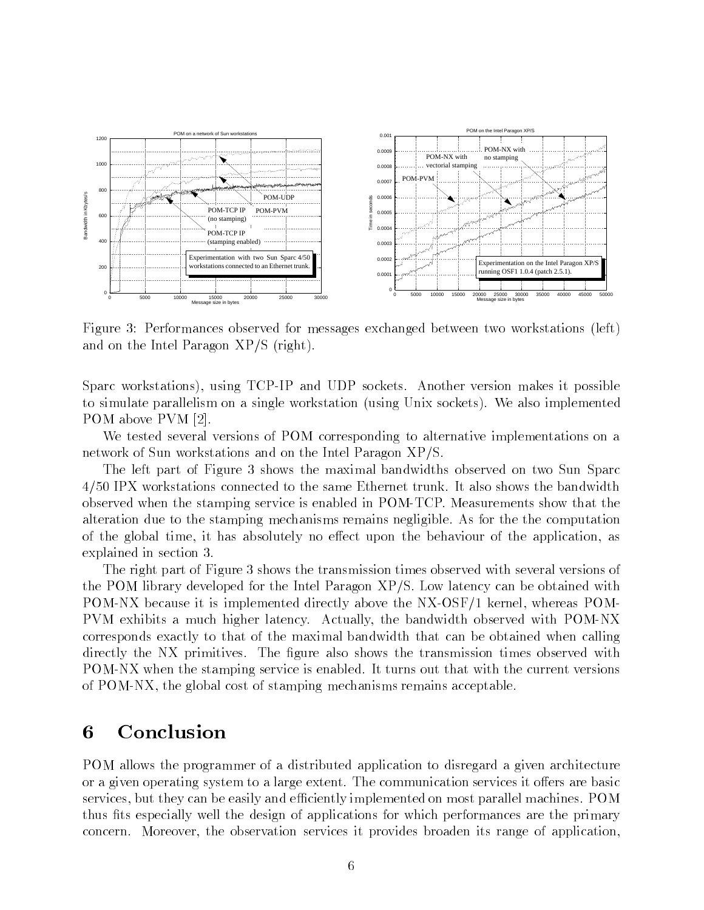

Figure 3: Performances observed for messages exchanged between two workstations (left) and on the Intel Paragon XP/S (right).

Sparc workstations), using TCP-IP and UDP sockets. Another version makes it possible to simulate parallelism on a single workstation (using Unix sockets). We also implemented POM above PVM [2].

We tested several versions of POM corresponding to alternative implementations on a network of Sun workstations and on the Intel Paragon XP/S.

The left part of Figure 3 shows the maximal bandwidths observed on two Sun Sparc 4/50 IPX workstations connected to the same Ethernet trunk. It also shows the bandwidth observed when the stamping service is enabled in POM-TCP. Measurements show that the alteration due to the stamping mechanisms remains negligible. As for the the computation of the global time, it has absolutely no effect upon the behaviour of the application, as explained in section 3.

The right part of Figure 3 shows the transmission times observed with several versions of the POM library developed for the Intel Paragon XP/S. Low latency can be obtained with POM-NX because it is implemented directly above the NX-OSF/1 kernel, whereas POM-PVM exhibits a much higher latency. Actually, the bandwidth observed with POM-NX corresponds exactly to that of the maximal bandwidth that can be obtained when calling directly the NX primitives. The figure also shows the transmission times observed with POM-NX when the stamping service is enabled. It turns out that with the current versions of POM-NX, the global cost of stamping mechanisms remains acceptable.

## <sup>6</sup> Conclusion

POM allows the programmer of a distributed application to disregard a given architecture or a given operating system to a large extent. The communication services it offers are basic services, but they can be easily and efficiently implemented on most parallel machines. POM thus fits especially well the design of applications for which performances are the primary concern. Moreover, the observation services it provides broaden its range of application,